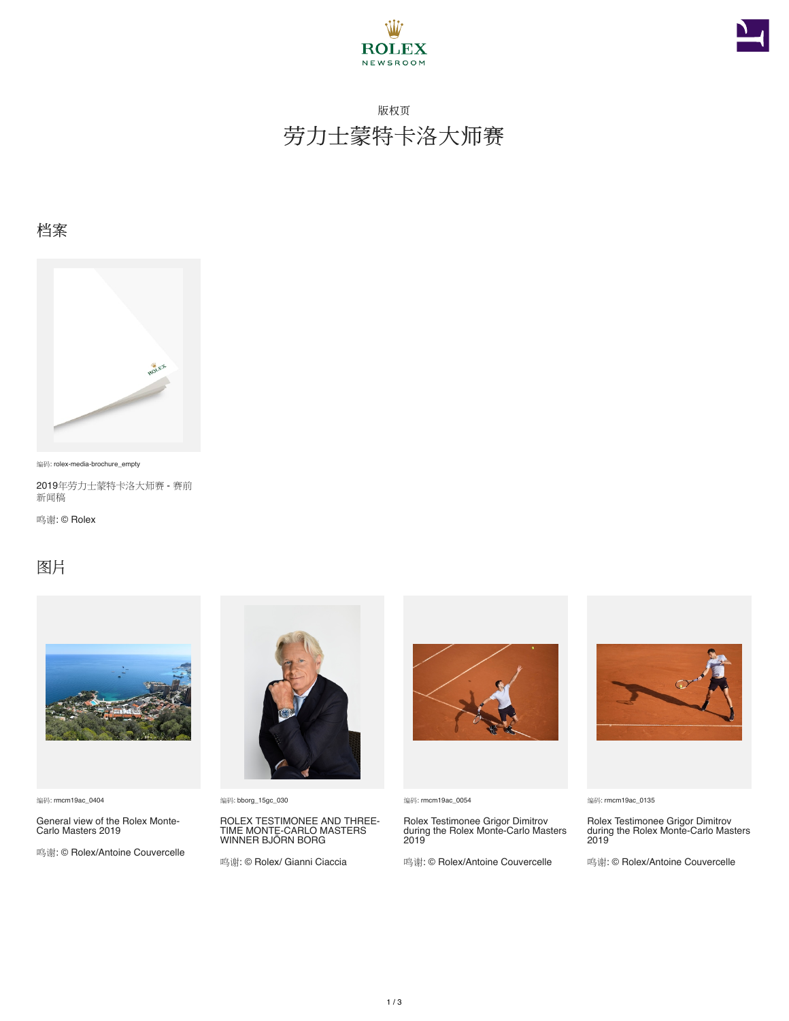



## 版权页 劳力士蒙特卡洛大师赛

### 档案



编码: rolex-media-brochure\_empty

2019年劳力士蒙特卡洛大师赛 - 赛前 新闻稿

鸣谢: © Rolex

### 图片



编码: rmcm19ac\_0404

General view of the Rolex Monte-Carlo Masters 2019

鸣谢: © Rolex/Antoine Couvercelle



编码: bborg\_15gc\_030

ROLEX TESTIMONEE AND THREE-TIME MONTE-CARLO MASTERS WINNER BJÖRN BORG

鸣谢: © Rolex/ Gianni Ciaccia



编码: rmcm19ac\_0054

Rolex Testimonee Grigor Dimitrov during the Rolex Monte-Carlo Masters 2019

鸣谢: © Rolex/Antoine Couvercelle



#### 编码: rmcm19ac\_0135

Rolex Testimonee Grigor Dimitrov during the Rolex Monte-Carlo Masters 2019

鸣谢: © Rolex/Antoine Couvercelle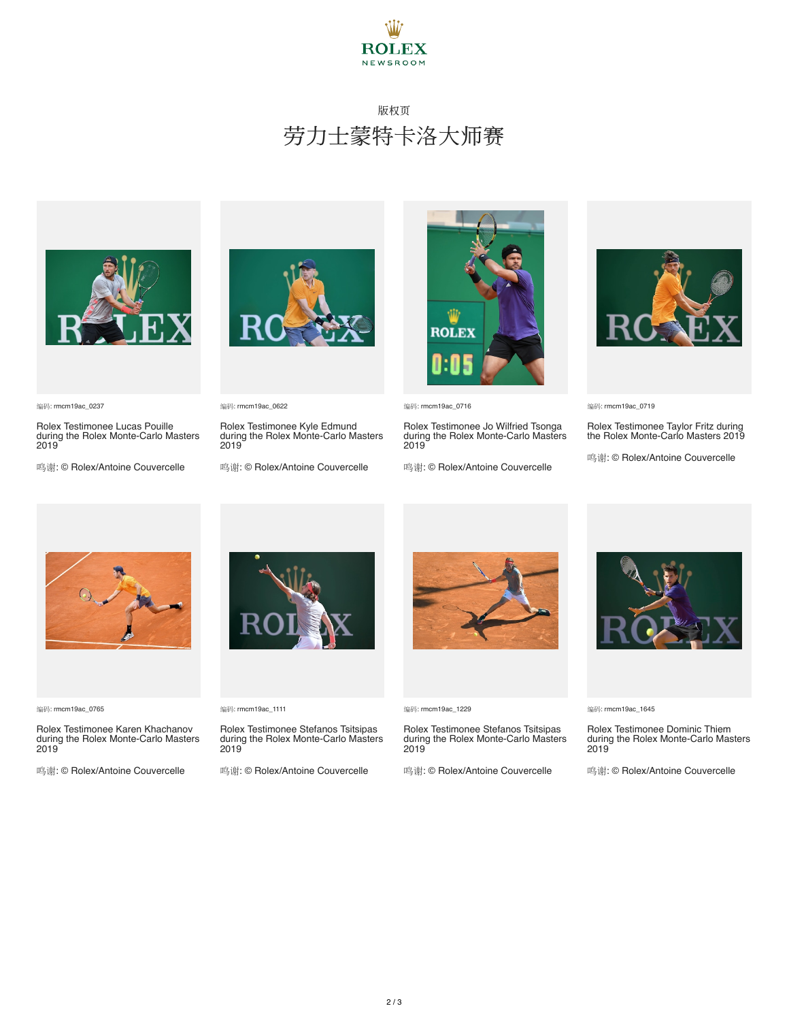

### 版权页 劳力士蒙特卡洛大师赛



编码: rmcm19ac\_0237

Rolex Testimonee Lucas Pouille during the Rolex Monte-Carlo Masters 2019

鸣谢: © Rolex/Antoine Couvercelle



编码: rmcm19ac\_0622

Rolex Testimonee Kyle Edmund during the Rolex Monte-Carlo Masters 2019

鸣谢: © Rolex/Antoine Couvercelle



编码: rmcm19ac\_0716

Rolex Testimonee Jo Wilfried Tsonga during the Rolex Monte-Carlo Masters 2019

鸣谢: © Rolex/Antoine Couvercelle



编码: rmcm19ac\_0719

Rolex Testimonee Taylor Fritz during the Rolex Monte-Carlo Masters 2019

鸣谢: © Rolex/Antoine Couvercelle



编码: rmcm19ac\_0765

Rolex Testimonee Karen Khachanov during the Rolex Monte-Carlo Masters 2019

鸣谢: © Rolex/Antoine Couvercelle



编码: rmcm19ac\_1111

Rolex Testimonee Stefanos Tsitsipas during the Rolex Monte-Carlo Masters 2019

鸣谢: © Rolex/Antoine Couvercelle



编码: rmcm19ac\_1229

Rolex Testimonee Stefanos Tsitsipas during the Rolex Monte-Carlo Masters 2019

鸣谢: © Rolex/Antoine Couvercelle



编码: rmcm19ac\_1645

Rolex Testimonee Dominic Thiem during the Rolex Monte-Carlo Masters 2019

鸣谢: © Rolex/Antoine Couvercelle



2 / 3